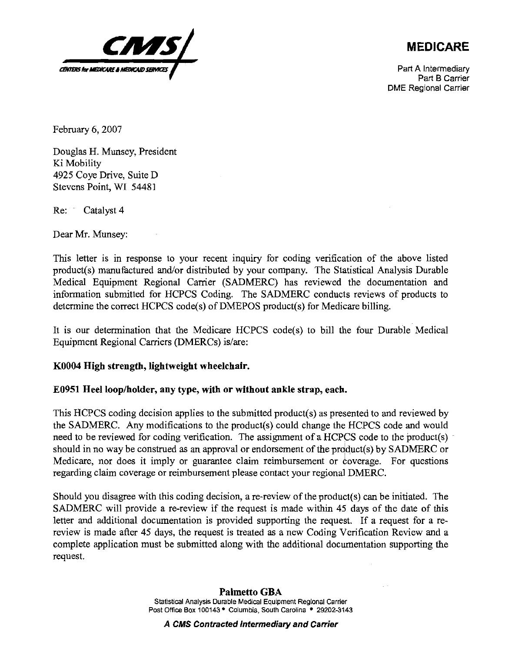

## **MEDICARE**

Part A Intermediary Part B Carrier DME Regional Carrier

February 6,2007

Douglas H. Munsey, President Ki Mobility 4925 Coye Drive, Suite D Stevens Point, WI 54481

Re: Catalyst 4

Dear Mr. Munsey:

This letter is in response to your recent inquiry for coding verification of the above listed product(s) manufactured and/or distributed by your company. The Statistical Analysis Durable Medical Equipment Regional Carrier (SADMERC) has reviewed the documentation and information submitted for HCPCS Coding. The SADMERC conducts reviews of products to determine the correct HCPCS code(s) of DMEPOS product(s) for Medicare billing.

It is our determination that the Medicare HCPCS code(s) to bill the four Durable Medical Equipment Regional Carriers (DMERCs) is/are:

## **KO004 High strength, lightweight wheelchair.**

## **E0951 Heel loop/holder, any type, with or without ankle strap, each.**

This HCPCS coding decision applies to the submitted product(s) as presented to and reviewed by the SADMERC. Any modifications to the product(s) could change the HCPCS code and would need to be reviewed for coding verification. The assignment of a HCPCS code to the product(s) should in no way be construed as an approval or endorsement of the prdduct(s) by SADMERC or Medicare, nor does it imply or guarantee claim reimbursement or coverage. For questions regarding claim coverage or reimbursement please contact your regional DMERC.

Should you disagree with this coding decision, a re-review of the product(s) can be initiated. The SADMERC will provide a re-review if the request is made withm 45 days of the date of this letter and additional documentation is provided supporting the request. If a request for a rereview is made after 45 days, the request is treated as a new Coding Verification Review and a complete application must be submitted along with the additional documentation supporting the request.

**A CMS Contracted Intermediary and Carrier**